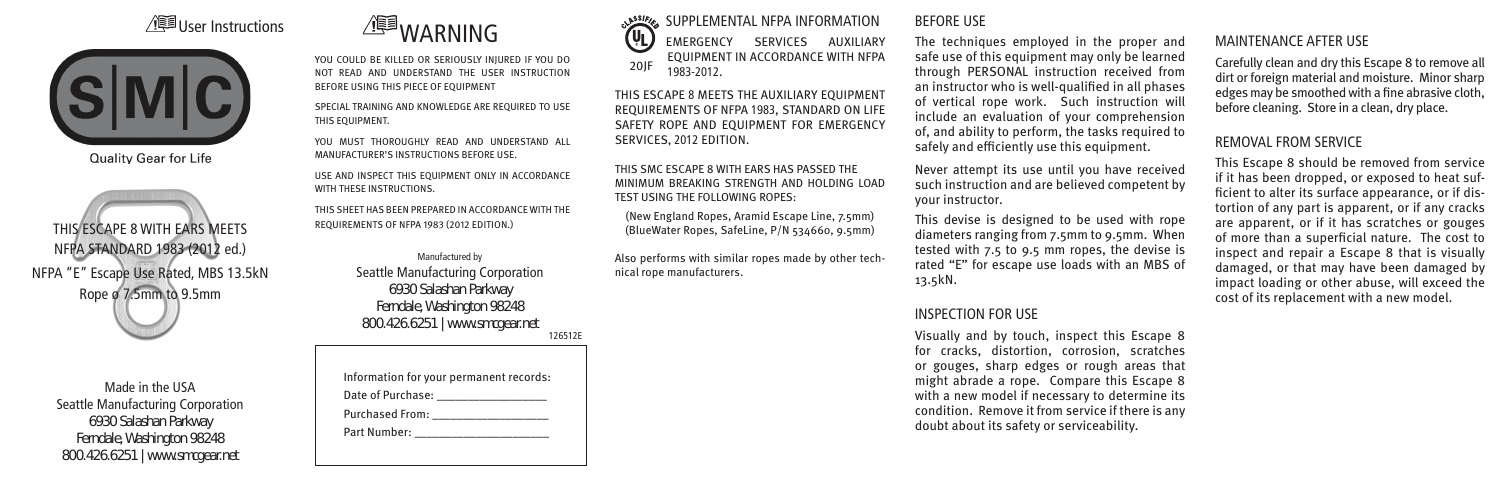# /<br>**WARE** User Instructions



**Quality Gear for Life** 

THIS ESCAPE 8 WITH EARS MEETS NFPA STANDARD 1983 (2012 ed.) NFPA "E" Escape Use Rated, MBS 13.5kN Rope ø 7.5mm to 9.5mm

> Made in the USA Seattle Manufacturing Corporation 6930 Salashan Parkway Ferndale, Washington 98248 800.426.6251 | www.smcgear.net

YOU COULD BE KILLED OR SERIOUSLY INJURED IF YOU DO NOT READ AND UNDERSTAND THE USER INSTRUCTION BEFORE USING THIS PIECE OF EQUIPMENT

SPECIAL TRAINING AND KNOWLEDGE ARE REQUIRED TO USE THIS EQUIPMENT.

YOU MUST THOROUGHLY READ AND UNDERSTAND ALL MANUFACTURER'S INSTRUCTIONS BEFORE USE.

USE AND INSPECT THIS EQUIPMENT ONLY IN ACCORDANCE WITH THESE INSTRUCTIONS.

THIS SHEET HAS BEEN PREPARED IN ACCORDANCE WITH THE REQUIREMENTS OF NFPA 1983 (2012 EDITION.)

> Manufactured by Seattle Manufacturing Corporation 6930 Salashan Parkway Ferndale, Washington 98248 800.426.6251 | www.smcgear.net 126512E

Information for your permanent records: Date of Purchase: \_\_\_\_\_\_\_\_\_\_\_\_\_\_\_\_\_\_ Purchased From: \_\_\_\_\_\_\_\_\_\_\_\_\_\_\_\_\_\_\_ Part Number:

SUPPLEMENTAL NFPA INFORMATION (VL) EMERGENCY SERVICES AUXILIARY EQUIPMENT IN ACCORDANCE WITH NFPA 20JF 1983-2012.

THIS ESCAPE 8 MEETS THE AUXILIARY EQUIPMENT REQUIREMENTS OF NFPA 1983, STANDARD ON LIFE SAFETY ROPE AND EQUIPMENT FOR EMERGENCY SERVICES, 2012 EDITION.

THIS SMC ESCAPE 8 WITH EARS HAS PASSED THE MINIMUM BREAKING STRENGTH AND HOLDING LOAD TEST USING THE FOLLOWING ROPES:

(New England Ropes, Aramid Escape Line, 7.5mm) (BlueWater Ropes, SafeLine, P/N 534660, 9.5mm)

Also performs with similar ropes made by other technical rope manufacturers.

#### BEFORE USE

The techniques employed in the proper and safe use of this equipment may only be learned through PERSONAL instruction received from an instructor who is well-qualified in all phases of vertical rope work. Such instruction will include an evaluation of your comprehension of, and ability to perform, the tasks required to safely and efficiently use this equipment.

Never attempt its use until you have received such instruction and are believed competent by your instructor.

This devise is designed to be used with rope diameters ranging from 7.5mm to 9.5mm. When tested with 7.5 to 9.5 mm ropes, the devise is rated "E" for escape use loads with an MBS of 13.5kN.

### INSPECTION FOR USE

Visually and by touch, inspect this Escape 8 for cracks, distortion, corrosion, scratches or gouges, sharp edges or rough areas that might abrade a rope. Compare this Escape 8 with a new model if necessary to determine its condition. Remove it from service if there is any doubt about its safety or serviceability.

# MAINTENANCE AFTER USE

Carefully clean and dry this Escape 8 to remove all dirt or foreign material and moisture. Minor sharp edges may be smoothed with a fine abrasive cloth, before cleaning. Store in a clean, dry place.

# REMOVAL FROM SERVICE

This Escape 8 should be removed from service if it has been dropped, or exposed to heat sufficient to alter its surface appearance, or if distortion of any part is apparent, or if any cracks are apparent, or if it has scratches or gouges of more than a superficial nature. The cost to inspect and repair a Escape 8 that is visually damaged, or that may have been damaged by impact loading or other abuse, will exceed the cost of its replacement with a new model.